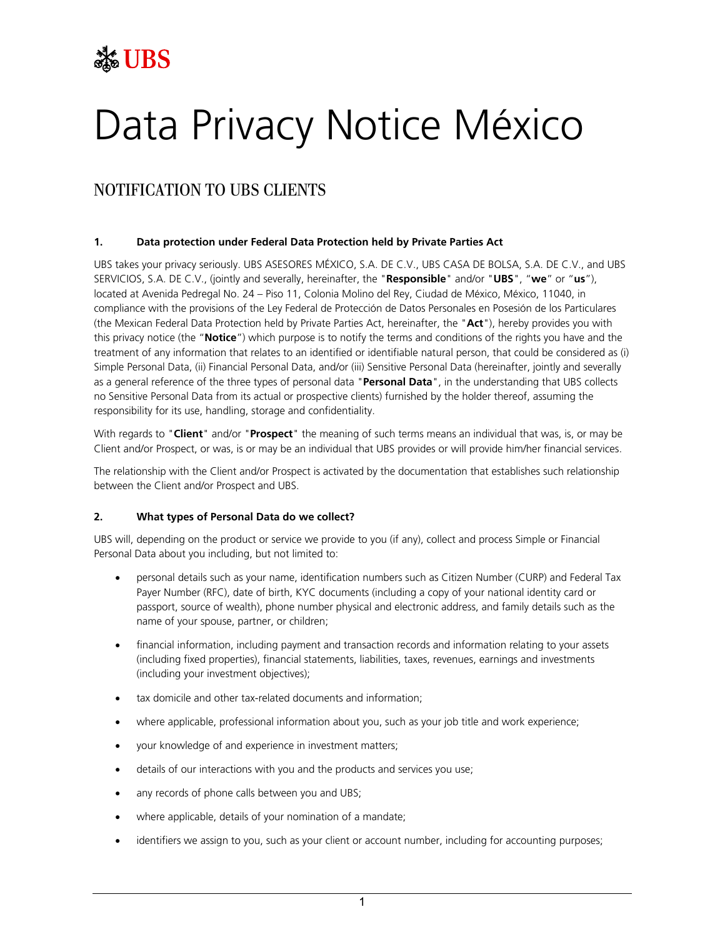## **See UBS**

# Data Privacy Notice México

### NOTIFICATION TO UBS CLIENTS

#### **1. Data protection under Federal Data Protection held by Private Parties Act**

UBS takes your privacy seriously. UBS ASESORES MÉXICO, S.A. DE C.V., UBS CASA DE BOLSA, S.A. DE C.V., and UBS SERVICIOS, S.A. DE C.V., (jointly and severally, hereinafter, the "**Responsible**" and/or "**UBS**", "**we**" or "**us**"), located at Avenida Pedregal No. 24 – Piso 11, Colonia Molino del Rey, Ciudad de México, México, 11040, in compliance with the provisions of the Ley Federal de Protección de Datos Personales en Posesión de los Particulares (the Mexican Federal Data Protection held by Private Parties Act, hereinafter, the "**Act**"), hereby provides you with this privacy notice (the "**Notice**") which purpose is to notify the terms and conditions of the rights you have and the treatment of any information that relates to an identified or identifiable natural person, that could be considered as (i) Simple Personal Data, (ii) Financial Personal Data, and/or (iii) Sensitive Personal Data (hereinafter, jointly and severally as a general reference of the three types of personal data "**Personal Data**", in the understanding that UBS collects no Sensitive Personal Data from its actual or prospective clients) furnished by the holder thereof, assuming the responsibility for its use, handling, storage and confidentiality.

With regards to "**Client**" and/or "**Prospect**" the meaning of such terms means an individual that was, is, or may be Client and/or Prospect, or was, is or may be an individual that UBS provides or will provide him/her financial services.

The relationship with the Client and/or Prospect is activated by the documentation that establishes such relationship between the Client and/or Prospect and UBS.

#### **2. What types of Personal Data do we collect?**

UBS will, depending on the product or service we provide to you (if any), collect and process Simple or Financial Personal Data about you including, but not limited to:

- personal details such as your name, identification numbers such as Citizen Number (CURP) and Federal Tax Payer Number (RFC), date of birth, KYC documents (including a copy of your national identity card or passport, source of wealth), phone number physical and electronic address, and family details such as the name of your spouse, partner, or children;
- financial information, including payment and transaction records and information relating to your assets (including fixed properties), financial statements, liabilities, taxes, revenues, earnings and investments (including your investment objectives);
- tax domicile and other tax-related documents and information;
- where applicable, professional information about you, such as your job title and work experience;
- your knowledge of and experience in investment matters;
- details of our interactions with you and the products and services you use;
- any records of phone calls between you and UBS;
- where applicable, details of your nomination of a mandate;
- identifiers we assign to you, such as your client or account number, including for accounting purposes;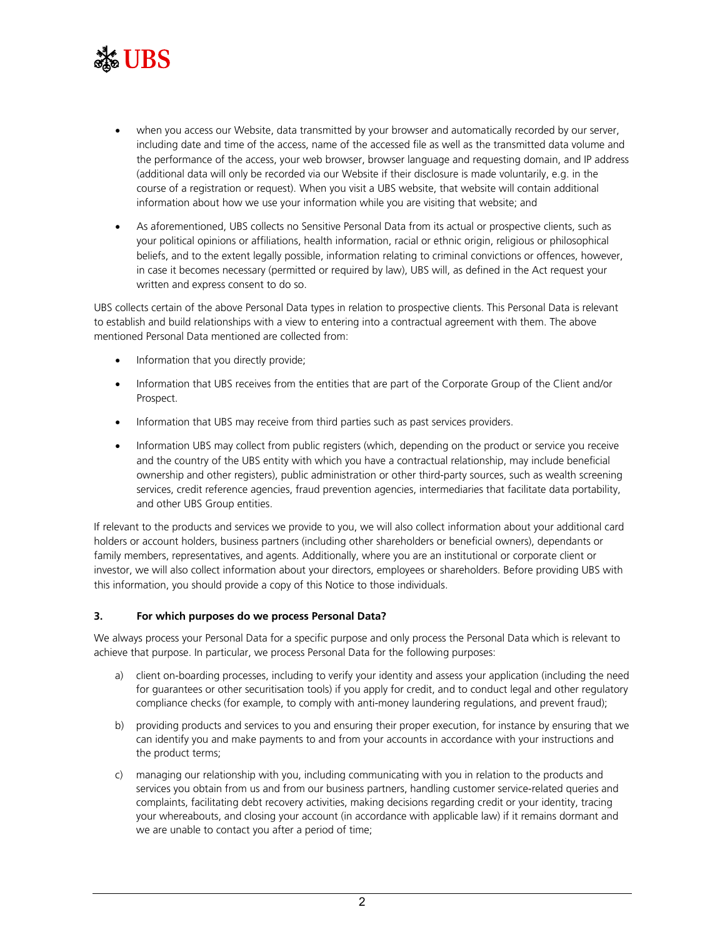

- when you access our Website, data transmitted by your browser and automatically recorded by our server, including date and time of the access, name of the accessed file as well as the transmitted data volume and the performance of the access, your web browser, browser language and requesting domain, and IP address (additional data will only be recorded via our Website if their disclosure is made voluntarily, e.g. in the course of a registration or request). When you visit a UBS website, that website will contain additional information about how we use your information while you are visiting that website; and
- As aforementioned, UBS collects no Sensitive Personal Data from its actual or prospective clients, such as your political opinions or affiliations, health information, racial or ethnic origin, religious or philosophical beliefs, and to the extent legally possible, information relating to criminal convictions or offences, however, in case it becomes necessary (permitted or required by law), UBS will, as defined in the Act request your written and express consent to do so.

UBS collects certain of the above Personal Data types in relation to prospective clients. This Personal Data is relevant to establish and build relationships with a view to entering into a contractual agreement with them. The above mentioned Personal Data mentioned are collected from:

- Information that you directly provide;
- Information that UBS receives from the entities that are part of the Corporate Group of the Client and/or Prospect.
- Information that UBS may receive from third parties such as past services providers.
- Information UBS may collect from public registers (which, depending on the product or service you receive and the country of the UBS entity with which you have a contractual relationship, may include beneficial ownership and other registers), public administration or other third-party sources, such as wealth screening services, credit reference agencies, fraud prevention agencies, intermediaries that facilitate data portability, and other UBS Group entities.

If relevant to the products and services we provide to you, we will also collect information about your additional card holders or account holders, business partners (including other shareholders or beneficial owners), dependants or family members, representatives, and agents. Additionally, where you are an institutional or corporate client or investor, we will also collect information about your directors, employees or shareholders. Before providing UBS with this information, you should provide a copy of this Notice to those individuals.

#### **3. For which purposes do we process Personal Data?**

We always process your Personal Data for a specific purpose and only process the Personal Data which is relevant to achieve that purpose. In particular, we process Personal Data for the following purposes:

- a) client on-boarding processes, including to verify your identity and assess your application (including the need for guarantees or other securitisation tools) if you apply for credit, and to conduct legal and other regulatory compliance checks (for example, to comply with anti-money laundering regulations, and prevent fraud);
- b) providing products and services to you and ensuring their proper execution, for instance by ensuring that we can identify you and make payments to and from your accounts in accordance with your instructions and the product terms;
- c) managing our relationship with you, including communicating with you in relation to the products and services you obtain from us and from our business partners, handling customer service-related queries and complaints, facilitating debt recovery activities, making decisions regarding credit or your identity, tracing your whereabouts, and closing your account (in accordance with applicable law) if it remains dormant and we are unable to contact you after a period of time;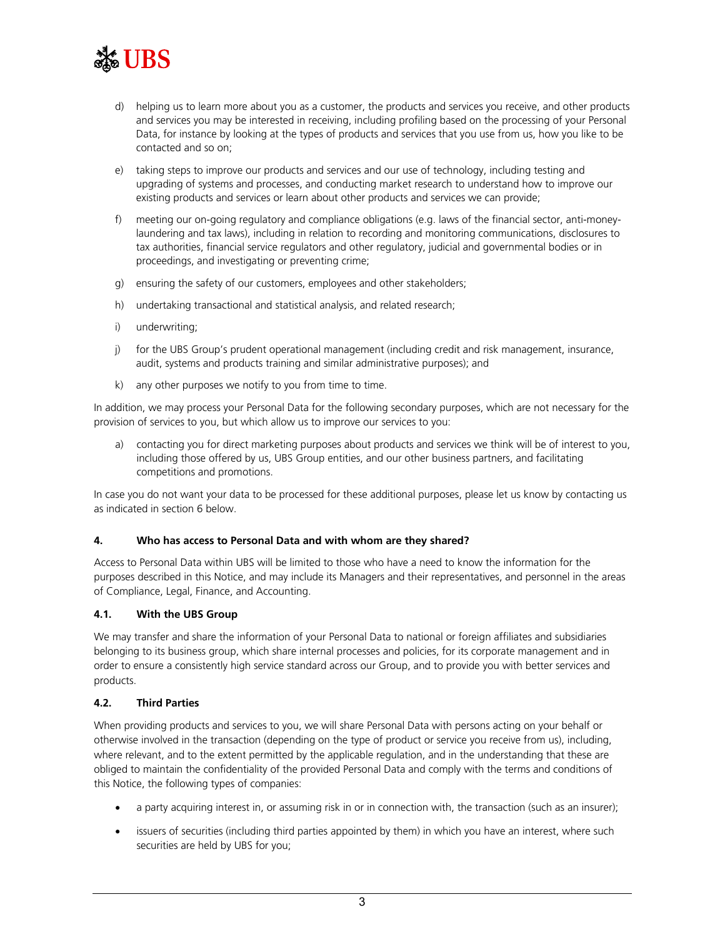

- d) helping us to learn more about you as a customer, the products and services you receive, and other products and services you may be interested in receiving, including profiling based on the processing of your Personal Data, for instance by looking at the types of products and services that you use from us, how you like to be contacted and so on;
- e) taking steps to improve our products and services and our use of technology, including testing and upgrading of systems and processes, and conducting market research to understand how to improve our existing products and services or learn about other products and services we can provide;
- f) meeting our on-going regulatory and compliance obligations (e.g. laws of the financial sector, anti-moneylaundering and tax laws), including in relation to recording and monitoring communications, disclosures to tax authorities, financial service regulators and other regulatory, judicial and governmental bodies or in proceedings, and investigating or preventing crime;
- g) ensuring the safety of our customers, employees and other stakeholders;
- h) undertaking transactional and statistical analysis, and related research;
- i) underwriting;
- j) for the UBS Group's prudent operational management (including credit and risk management, insurance, audit, systems and products training and similar administrative purposes); and
- k) any other purposes we notify to you from time to time.

In addition, we may process your Personal Data for the following secondary purposes, which are not necessary for the provision of services to you, but which allow us to improve our services to you:

a) contacting you for direct marketing purposes about products and services we think will be of interest to you, including those offered by us, UBS Group entities, and our other business partners, and facilitating competitions and promotions.

In case you do not want your data to be processed for these additional purposes, please let us know by contacting us as indicated in section 6 below.

#### **4. Who has access to Personal Data and with whom are they shared?**

Access to Personal Data within UBS will be limited to those who have a need to know the information for the purposes described in this Notice, and may include its Managers and their representatives, and personnel in the areas of Compliance, Legal, Finance, and Accounting.

#### **4.1. With the UBS Group**

We may transfer and share the information of your Personal Data to national or foreign affiliates and subsidiaries belonging to its business group, which share internal processes and policies, for its corporate management and in order to ensure a consistently high service standard across our Group, and to provide you with better services and products.

#### **4.2. Third Parties**

When providing products and services to you, we will share Personal Data with persons acting on your behalf or otherwise involved in the transaction (depending on the type of product or service you receive from us), including, where relevant, and to the extent permitted by the applicable regulation, and in the understanding that these are obliged to maintain the confidentiality of the provided Personal Data and comply with the terms and conditions of this Notice, the following types of companies:

- a party acquiring interest in, or assuming risk in or in connection with, the transaction (such as an insurer);
- issuers of securities (including third parties appointed by them) in which you have an interest, where such securities are held by UBS for you;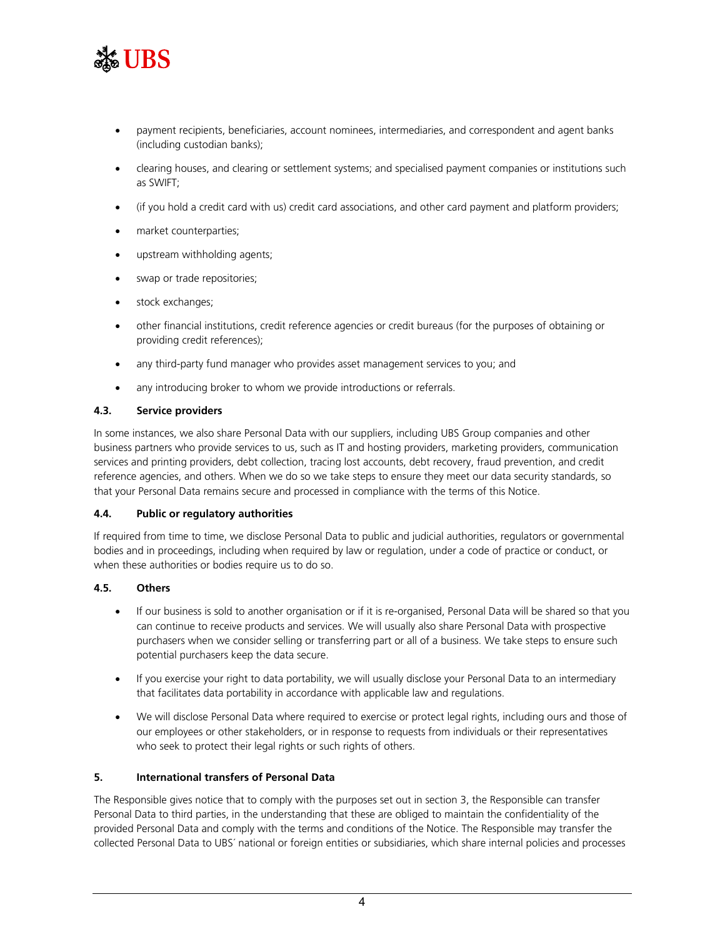

- payment recipients, beneficiaries, account nominees, intermediaries, and correspondent and agent banks (including custodian banks);
- clearing houses, and clearing or settlement systems; and specialised payment companies or institutions such as SWIFT;
- (if you hold a credit card with us) credit card associations, and other card payment and platform providers;
- market counterparties;
- upstream withholding agents;
- swap or trade repositories;
- stock exchanges;
- other financial institutions, credit reference agencies or credit bureaus (for the purposes of obtaining or providing credit references);
- any third-party fund manager who provides asset management services to you; and
- any introducing broker to whom we provide introductions or referrals.

#### **4.3. Service providers**

In some instances, we also share Personal Data with our suppliers, including UBS Group companies and other business partners who provide services to us, such as IT and hosting providers, marketing providers, communication services and printing providers, debt collection, tracing lost accounts, debt recovery, fraud prevention, and credit reference agencies, and others. When we do so we take steps to ensure they meet our data security standards, so that your Personal Data remains secure and processed in compliance with the terms of this Notice.

#### **4.4. Public or regulatory authorities**

If required from time to time, we disclose Personal Data to public and judicial authorities, regulators or governmental bodies and in proceedings, including when required by law or regulation, under a code of practice or conduct, or when these authorities or bodies require us to do so.

#### **4.5. Others**

- If our business is sold to another organisation or if it is re-organised, Personal Data will be shared so that you can continue to receive products and services. We will usually also share Personal Data with prospective purchasers when we consider selling or transferring part or all of a business. We take steps to ensure such potential purchasers keep the data secure.
- If you exercise your right to data portability, we will usually disclose your Personal Data to an intermediary that facilitates data portability in accordance with applicable law and regulations.
- We will disclose Personal Data where required to exercise or protect legal rights, including ours and those of our employees or other stakeholders, or in response to requests from individuals or their representatives who seek to protect their legal rights or such rights of others.

#### **5. International transfers of Personal Data**

The Responsible gives notice that to comply with the purposes set out in section 3, the Responsible can transfer Personal Data to third parties, in the understanding that these are obliged to maintain the confidentiality of the provided Personal Data and comply with the terms and conditions of the Notice. The Responsible may transfer the collected Personal Data to UBS´ national or foreign entities or subsidiaries, which share internal policies and processes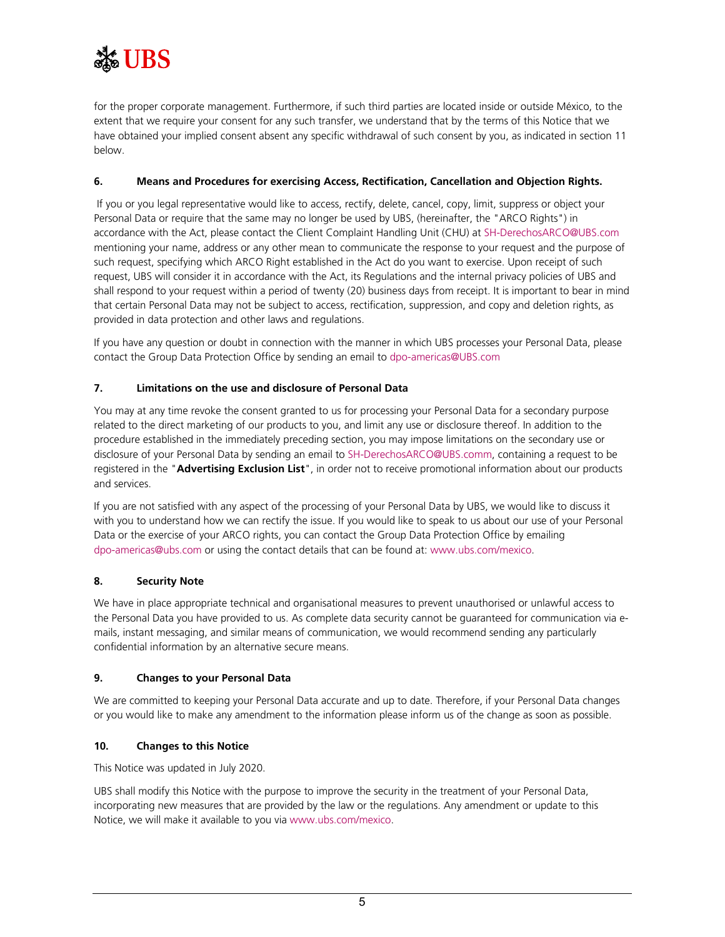

for the proper corporate management. Furthermore, if such third parties are located inside or outside México, to the extent that we require your consent for any such transfer, we understand that by the terms of this Notice that we have obtained your implied consent absent any specific withdrawal of such consent by you, as indicated in section [11](#page-5-0) below.

#### **6. Means and Procedures for exercising Access, Rectification, Cancellation and Objection Rights.**

If you or you legal representative would like to access, rectify, delete, cancel, copy, limit, suppress or object your Personal Data or require that the same may no longer be used by UBS, (hereinafter, the "ARCO Rights") in accordance with the Act, please contact the Client Complaint Handling Unit (CHU) at [SH-DerechosARCO@UBS.com](mailto:SH-DerechosARCO@UBS.com) mentioning your name, address or any other mean to communicate the response to your request and the purpose of such request, specifying which ARCO Right established in the Act do you want to exercise. Upon receipt of such request, UBS will consider it in accordance with the Act, its Regulations and the internal privacy policies of UBS and shall respond to your request within a period of twenty (20) business days from receipt. It is important to bear in mind that certain Personal Data may not be subject to access, rectification, suppression, and copy and deletion rights, as provided in data protection and other laws and regulations.

If you have any question or doubt in connection with the manner in which UBS processes your Personal Data, please contact the Group Data Protection Office by sending an email to [dpo-americas@UBS.com](mailto:dpo-americas@UBS.com)

#### **7. Limitations on the use and disclosure of Personal Data**

You may at any time revoke the consent granted to us for processing your Personal Data for a secondary purpose related to the direct marketing of our products to you, and limit any use or disclosure thereof. In addition to the procedure established in the immediately preceding section, you may impose limitations on the secondary use or disclosure of your Personal Data by sending an email to [SH-DerechosARCO@UBS.comm](mailto:SH-DerechosARCO@UBS.com), containing a request to be registered in the "**Advertising Exclusion List**", in order not to receive promotional information about our products and services.

If you are not satisfied with any aspect of the processing of your Personal Data by UBS, we would like to discuss it with you to understand how we can rectify the issue. If you would like to speak to us about our use of your Personal Data or the exercise of your ARCO rights, you can contact the Group Data Protection Office by emailing [dpo-americas@ubs.com](mailto:dpo-americas@ubs.com) or using the contact details that can be found at[: www.ubs.com/mexico.](http://www.ubs.com/mexico)

#### **8. Security Note**

We have in place appropriate technical and organisational measures to prevent unauthorised or unlawful access to the Personal Data you have provided to us. As complete data security cannot be guaranteed for communication via emails, instant messaging, and similar means of communication, we would recommend sending any particularly confidential information by an alternative secure means.

#### **9. Changes to your Personal Data**

We are committed to keeping your Personal Data accurate and up to date. Therefore, if your Personal Data changes or you would like to make any amendment to the information please inform us of the change as soon as possible.

#### **10. Changes to this Notice**

This Notice was updated in July 2020.

UBS shall modify this Notice with the purpose to improve the security in the treatment of your Personal Data, incorporating new measures that are provided by the law or the regulations. Any amendment or update to this Notice, we will make it available to you via [www.ubs.com/mexico.](https://www.ubs.com/mx/es.html)